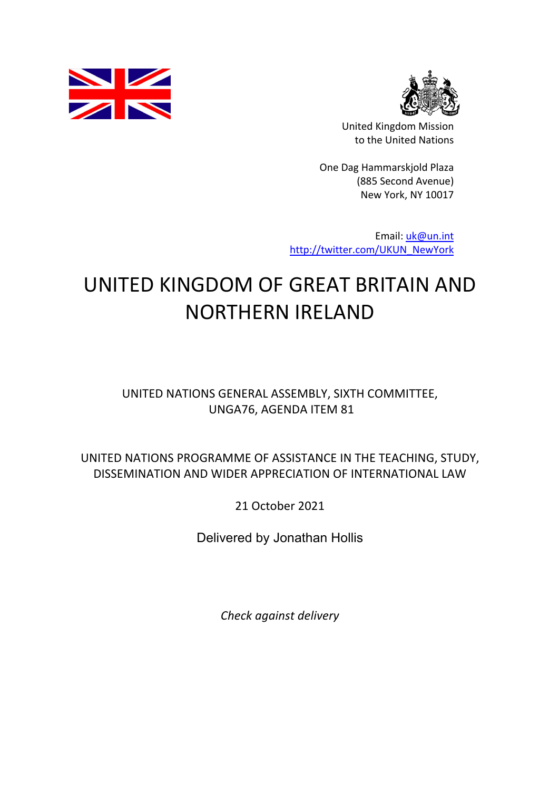



United Kingdom Mission to the United Nations

One Dag Hammarskjold Plaza (885 Second Avenue) New York, NY 10017

Email: uk@un.int http://twitter.com/UKUN\_NewYork

## UNITED KINGDOM OF GREAT BRITAIN AND NORTHERN IRELAND

UNITED NATIONS GENERAL ASSEMBLY, SIXTH COMMITTEE, UNGA76, AGENDA ITEM 81

UNITED NATIONS PROGRAMME OF ASSISTANCE IN THE TEACHING, STUDY, DISSEMINATION AND WIDER APPRECIATION OF INTERNATIONAL LAW

21 October 2021

Delivered by Jonathan Hollis

*Check against delivery*